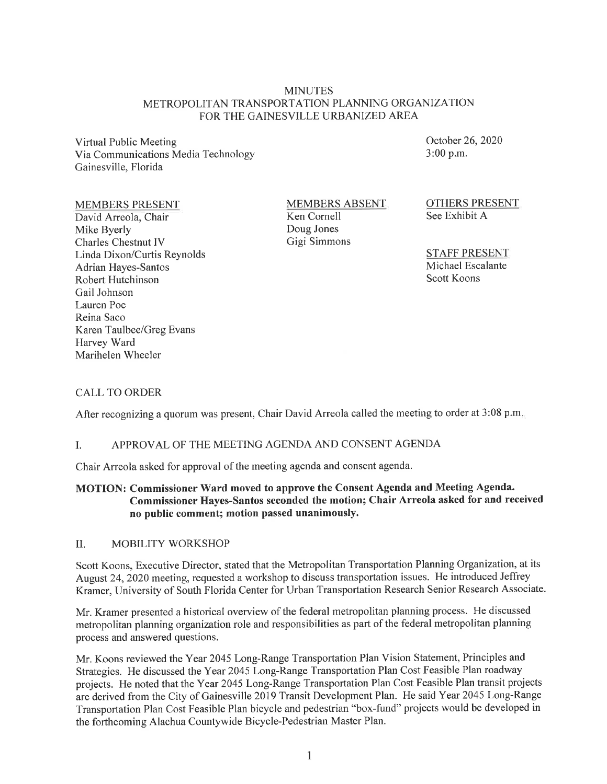### MINUTES METROPOLITAN TRANSPORTATION PLANNING ORGANIZATION FOR THE GAINESVILLE URBANIZED AREA

Virtual Public Meeting Via Communications Media Technology Gainesville, Florida

### MEMBERS PRESENT

David Arreola, Chair Mike Byerly Charles Chestnut IV Linda Dixon/Curtis Reynolds Adrian Hayes-Santos Robert Hutchinson Gail Johnson Lauren Poe Reina Saco Karen Taulbee/Greg Evans Harvey Ward Marihelen Wheeler

MEMBERS ABSENT Ken Cornell Doug Jones Gigi Simmons

October 26, 2020 3:00 p.m.

OTHERS PRESENT See Exhibit A

STAFF PRESENT Michael Escalante Scott Koons

### CALL TO ORDER

After recognizing a quorum was present, Chair David Arreola called the meeting to order at 3:08 p.m.

### I. APPROVAL OF THE MEETING AGENDA AND CONSENT AGENDA

Chair Arreola asked for approval of the meeting agenda and consent agenda.

### **MOTION: Commissioner Ward moved to approve the Consent Agenda and Meeting Agenda. Commissioner Hayes-Santos seconded the motion; Chair Arreola asked for and received no public comment; motion passed unanimously.**

### II. MOBILITY WORKSHOP

Scott Koons, Executive Director, stated that the Metropolitan Transportation Planning Organization, at its August 24, 2020 meeting, requested a workshop to discuss transportation issues. He introduced Jeffrey Kramer, University of South Florida Center for Urban Transportation Research Senior Research Associate.

Mr. Kramer presented a historical overview of the federal metropolitan planning process. He discussed metropolitan planning organization role and responsibilities as part of the federal metropolitan planning process and answered questions.

Mr. Koons reviewed the Year 2045 Long-Range Transportation Plan Vision Statement, Principles and Strategies. He discussed the Year 2045 Long-Range Transportation Plan Cost Feasible Plan roadway projects. He noted that the Year 2045 Long-Range Transportation Plan Cost Feasible Plan transit projects are derived from the City of Gainesville 2019 Transit Development Plan. He said Year 2045 Long-Range Transportation Plan Cost Feasible Plan bicycle and pedestrian "box-fund" projects would be developed in the forthcoming Alachua Countywide Bicycle-Pedestrian Master Plan.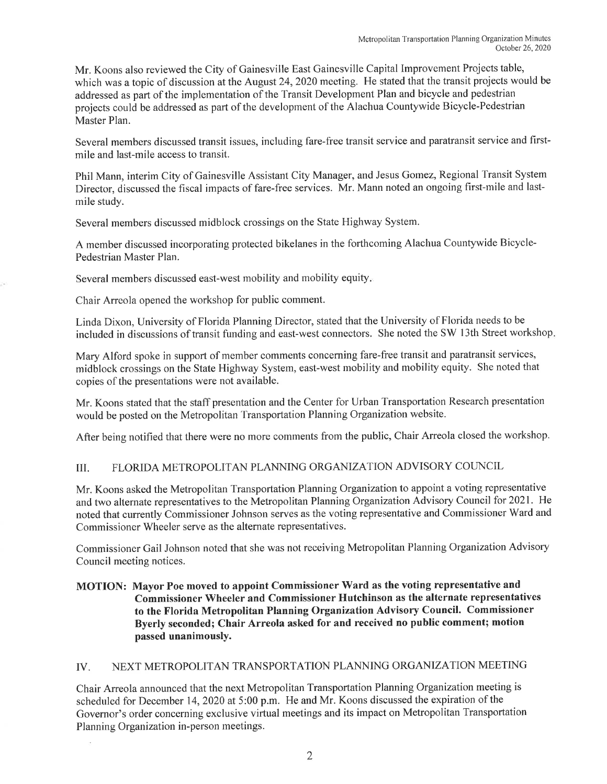Mr. Koons also reviewed the City of Gainesville East Gainesville Capital Improvement Projects table, which was a topic of discussion at the August 24, 2020 meeting. He stated that the transit projects would be addressed as part of the implementation of the Transit Development Plan and bicycle and pedestrian projects could be addressed as part of the development of the Alachua Countywide Bicycle-Pedestrian Master Plan.

Several members discussed transit issues, including fare-free transit service and paratransit service and firstmile and last-mile access to transit.

Phil Mann, interim City of Gainesville Assistant City Manager, and Jesus Gomez, Regional Transit System Director, discussed the fiscal impacts of fare-free services. Mr. Mann noted an ongoing first-mile and lastmile study.

Several members discussed midblock crossings on the State Highway System.

A member discussed incorporating protected bikelanes in the forthcoming Alachua Countywide Bicycle-Pedestrian Master Plan.

Several members discussed east-west mobility and mobility equity.

Chair Arreola opened the workshop for public comment.

Linda Dixon, University of Florida Planning Director, stated that the University of Florida needs to be included in discussions of transit funding and east-west connectors. She noted the SW 13th Street workshop.

Mary Alford spoke in support of member comments concerning fare-free transit and paratransit services, midblock crossings on the State Highway System, east-west mobility and mobility equity. She noted that copies of the presentations were not available.

Mr. Koons stated that the staff presentation and the Center for Urban Transportation Research presentation would be posted on the Metropolitan Transportation Planning Organization website.

After being notified that there were no more comments from the public, Chair Arreola closed the workshop.

# III. FLORJDA METROPOLITAN PLANNING ORGANIZATION ADVISORY COUNCIL

Mr. Koons asked the Metropolitan Transportation Planning Organization to appoint a voting representative and two alternate representatives to the Metropolitan Planning Organization Advisory Council for 2021. He noted that currently Commissioner Johnson serves as the voting representative and Commissioner Ward and Commissioner Wheeler serve as the alternate representatives.

Commissioner Gail Johnson noted that she was not receiving Metropolitan Planning Organization Advisory Council meeting notices.

## **MOTION: Mayor Poe moved to appoint Commissioner Ward as the voting representative and Commissioner Wheeler and Commissioner Hutchinson as the alternate representatives to the Florida Metropolitan Planning Organization Advisory Council. Commissioner Byerly seconded; Chair Arreola asked for and received no public comment; motion passed unanimously.**

# IV. NEXT METROPOLITAN TRANSPORTATION PLANNING ORGANIZATION MEETING

Chair Arreola announced that the next Metropolitan Transportation Planning Organization meeting is scheduled for December 14, 2020 at 5:00 p.m. He and Mr. Koons discussed the expiration of the Governor's order concerning exclusive virtual meetings and its impact on Metropolitan Transportation Planning Organization in-person meetings.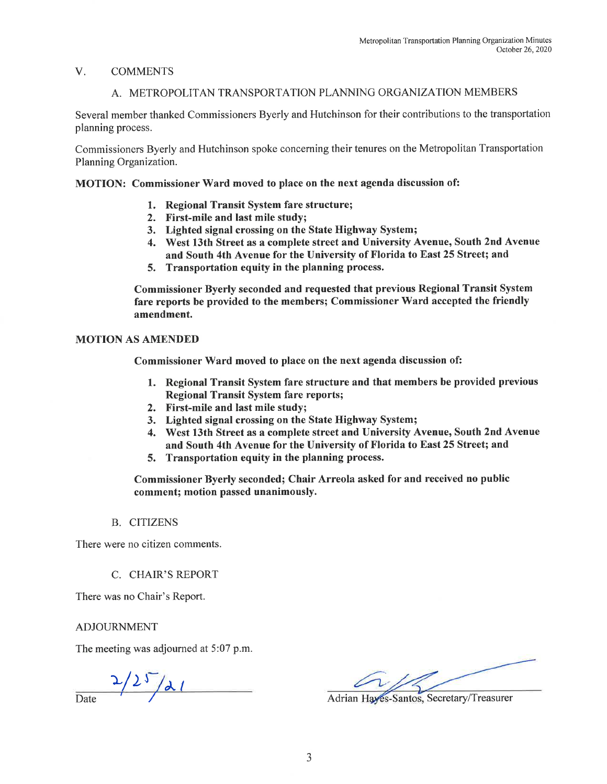### V. COMMENTS

# A. METROPOLITAN TRANSPORTATION PLANNING ORGANIZATION MEMBERS

Several member thanked Commissioners Byerly and Hutchinson for their contributions to the transportation planning process.

Commissioners Byerly and Hutchinson spoke concerning their tenures on the Metropolitan Transportation Planning Organization.

MOTION: Commissioner Ward moved to place on the next agenda discussion of:

- 1. Regional Transit System fare structure;
- 2. First-mile and last mile study;
- 3. Lighted signal crossing on the State Highway System;
- 4. West 13th Street as a complete street and University Avenue, South 2nd Avenue and South 4th Avenue for the University of Florida to East 25 Street; and
- 5. Transportation equity in the planning process.

Commissioner Byerly seconded and requested that previous Regional Transit System fare reports be provided to the members; Commissioner Ward accepted the friendly amendment.

### MOTION AS AMENDED

Commissioner Ward moved to place on the next agenda discussion of:

- 1. Regional Transit System fare structure and that members be provided previous Regional Transit System fare reports;
- 2. First-mile and last mile study;
- 3. Lighted signal crossing on the State Highway System;
- 4. West 13th Street as a complete street and University Avenue, South 2nd Avenue and South 4th Avenue for the University of Florida to East 25 Street; and
- 5. Transportation equity in the planning process.

Commissioner Byerly seconded; Chair Arreola asked for and received no public comment; motion passed unanimously.

### B. CITIZENS

There were no citizen comments.

C. CHAIR'S REPORT

There was no Chair's Report.

ADJOURNMENT

The meeting was adjourned at 5:07 p.m.

 $\frac{2}{2^{5}/21}$ 

Adrian Haves-Santos, Secretary/Treasurer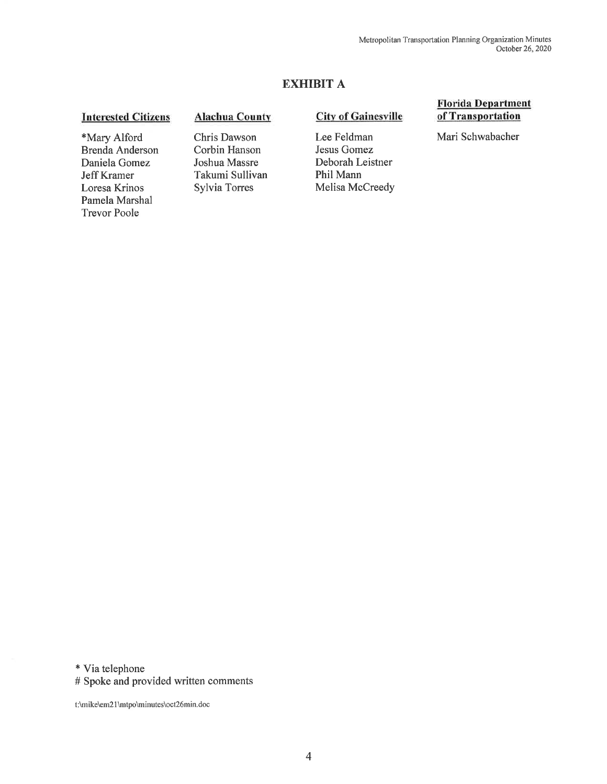# EXHIBIT A

### **Interested Citizens**

\*Mary Alford Brenda Anderson Daniela Gomez Jeff Kramer Loresa Krinos Pamela Marshal Trevor Poole

### Alachua County

Chris Dawson Corbin Hanson Joshua Massre Takumi Sullivan Sylvia Torres

### City of Gainesville

Lee Feldman Jesus Gomez Deborah Leistner Phil Mann Melisa McCreedy

### Florida Department of Transportation

Mari Schwabacher

\* Via telephone

# Spoke and provided written comments

t:\mike\em21 \mtpo\minutes\oct26min.doc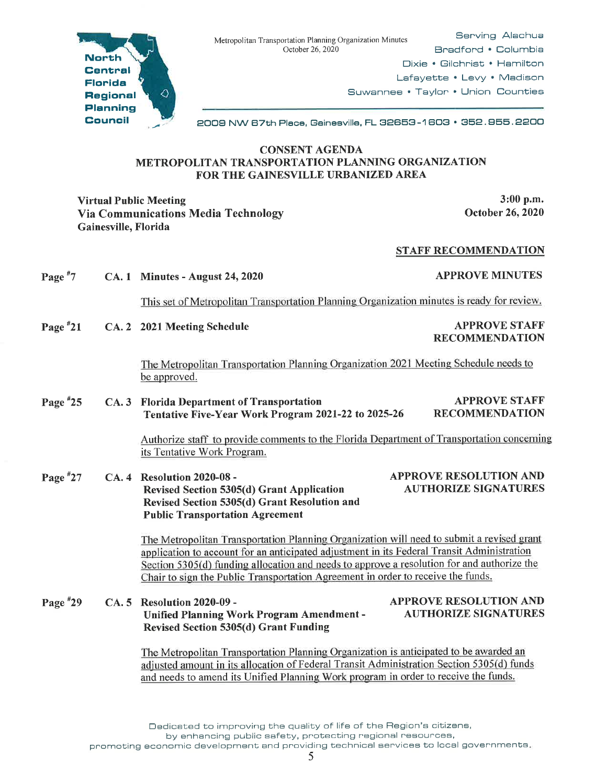

Serving Alachua Bradford • Columbia Dixie • Gilchrist • Hamilton Lafayette • Levy • Madison Suwannee • Taylor • Union Counties



2009 NW 67th Place, Gainesville, FL 32653 -1 603 • 352. 955. 2200

### CONSENT AGENDA METROPOLITAN TRANSPORTATION PLANNING ORGANIZATION FOR THE GAINESVILLE URBANIZED AREA

Virtual Public Meeting 3:00 p.m. Via Communications Media Technology Gainesville, Florida

October 26, 2020

### STAFF RECOMMENDATION

| Page $*7$  |      | <b>CA. 1 Minutes - August 24, 2020</b>                                                                                                                                                                                                                                                                                                                                    | <b>APPROVE MINUTES</b>                                       |  |
|------------|------|---------------------------------------------------------------------------------------------------------------------------------------------------------------------------------------------------------------------------------------------------------------------------------------------------------------------------------------------------------------------------|--------------------------------------------------------------|--|
|            |      | This set of Metropolitan Transportation Planning Organization minutes is ready for review.                                                                                                                                                                                                                                                                                |                                                              |  |
| Page $*21$ |      | CA. 2 2021 Meeting Schedule                                                                                                                                                                                                                                                                                                                                               | <b>APPROVE STAFF</b><br><b>RECOMMENDATION</b>                |  |
|            |      | The Metropolitan Transportation Planning Organization 2021 Meeting Schedule needs to<br>be approved.                                                                                                                                                                                                                                                                      |                                                              |  |
| Page $*25$ |      | CA. 3 Florida Department of Transportation<br>Tentative Five-Year Work Program 2021-22 to 2025-26                                                                                                                                                                                                                                                                         | <b>APPROVE STAFF</b><br><b>RECOMMENDATION</b>                |  |
|            |      | Authorize staff to provide comments to the Florida Department of Transportation concerning<br>its Tentative Work Program.                                                                                                                                                                                                                                                 |                                                              |  |
| Page $*27$ |      | CA. 4 Resolution 2020-08 -<br><b>Revised Section 5305(d) Grant Application</b><br>Revised Section 5305(d) Grant Resolution and<br><b>Public Transportation Agreement</b>                                                                                                                                                                                                  | <b>APPROVE RESOLUTION AND</b><br><b>AUTHORIZE SIGNATURES</b> |  |
|            |      | The Metropolitan Transportation Planning Organization will need to submit a revised grant<br>application to account for an anticipated adjustment in its Federal Transit Administration<br>Section 5305(d) funding allocation and needs to approve a resolution for and authorize the<br>Chair to sign the Public Transportation Agreement in order to receive the funds. |                                                              |  |
| Page #29   | CA.5 | Resolution 2020-09 -<br><b>Unified Planning Work Program Amendment -</b><br><b>Revised Section 5305(d) Grant Funding</b>                                                                                                                                                                                                                                                  | <b>APPROVE RESOLUTION AND</b><br><b>AUTHORIZE SIGNATURES</b> |  |
|            |      | The Metropolitan Transportation Planning Organization is anticipated to be awarded an<br>adjusted amount in its allocation of Federal Transit Administration Section 5305(d) funds<br>and needs to amend its Unified Planning Work program in order to receive the funds.                                                                                                 |                                                              |  |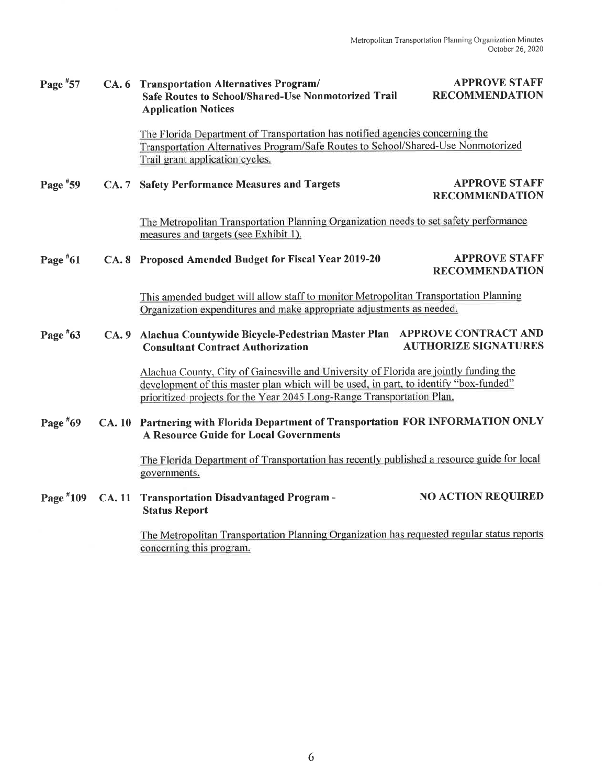| Page $*57$ | CA. 6 Transportation Alternatives Program/ |                                                            |
|------------|--------------------------------------------|------------------------------------------------------------|
|            |                                            | <b>Safe Routes to School/Shared-Use Nonmotorized Trail</b> |
|            |                                            | <b>Application Notices</b>                                 |

APPROVE STAFF RECOMMENDATION

The Florida Department of Transportation has notified agencies concerning the Transportation Alternatives Program/Safe Routes to School/Shared-Use Nonmotorized Trail grant application cycles.

Page  $*59$ CA. 7 Safety Performance Measures and Targets APPROVE STAFF RECOMMENDATION

> The Metropolitan Transportation Planning Organization needs to set safety performance measures and targets (see Exhibit 1).

Page #61 CA. 8 Proposed Amended Budget for Fiscal Year 2019-20 APPROVE STAFF RECOMMENDATION

> This amended budget will allow staff to monitor Metropolitan Transportation Planning Organization expenditures and make appropriate adjustments as needed.

#### Page #63 CA. 9 Alachua Countywide Bicycle-Pedestrian Master Plan APPROVE CONTRACT AND **Consultant Contract Authorization**

Alachua County. Citv of Gainesville and Universitv of Florida are jointly funding the development of this master plan which will be used, in part, to identify "box-funded" prioritized projects for the Year 2045 Long-Range Transportation Plan.

#### Page #69 CA. 10 Partnering with Florida Department of Transportation FOR INFORMATION ONLY A Resource Guide for Local Governments

The Florida Department of Transportation has recently published a resource guide for local governments.

Page #109 CA. 11 Transportation Disadvantaged Program - Status Report NO ACTION REQUIRED

> The Metropolitan Transportation Planning Organization has requested regular status reports concerning this program.